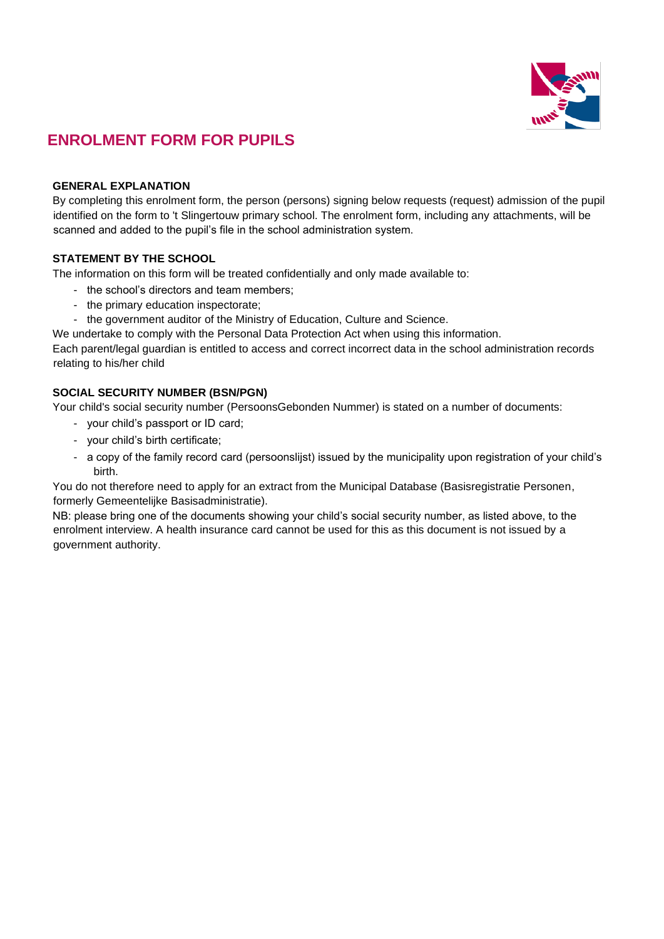

# **ENROLMENT FORM FOR PUPILS**

## **GENERAL EXPLANATION**

By completing this enrolment form, the person (persons) signing below requests (request) admission of the pupil identified on the form to 't Slingertouw primary school. The enrolment form, including any attachments, will be scanned and added to the pupil's file in the school administration system.

# **STATEMENT BY THE SCHOOL**

The information on this form will be treated confidentially and only made available to:

- the school's directors and team members;
- the primary education inspectorate;
- the government auditor of the Ministry of Education, Culture and Science.

We undertake to comply with the Personal Data Protection Act when using this information.

Each parent/legal guardian is entitled to access and correct incorrect data in the school administration records relating to his/her child

## **SOCIAL SECURITY NUMBER (BSN/PGN)**

Your child's social security number (PersoonsGebonden Nummer) is stated on a number of documents:

- your child's passport or ID card;
- your child's birth certificate;
- a copy of the family record card (persoonslijst) issued by the municipality upon registration of your child's birth.

You do not therefore need to apply for an extract from the Municipal Database (Basisregistratie Personen, formerly Gemeentelijke Basisadministratie).

NB: please bring one of the documents showing your child's social security number, as listed above, to the enrolment interview. A health insurance card cannot be used for this as this document is not issued by a government authority.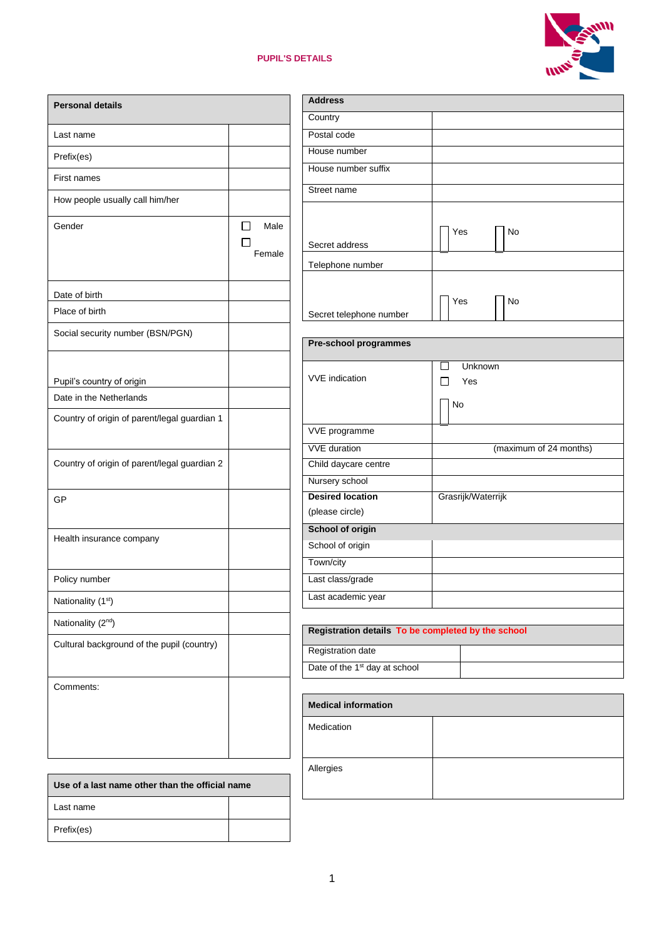# **PUPIL'S DETAILS**



| <b>Personal details</b>                              |                           |
|------------------------------------------------------|---------------------------|
| Last name                                            |                           |
| Prefix(es)                                           |                           |
| First names                                          |                           |
| How people usually call him/her                      |                           |
| Gender                                               | Male<br>$\perp$<br>Female |
| Date of birth                                        |                           |
| Place of birth                                       |                           |
| Social security number (BSN/PGN)                     |                           |
|                                                      |                           |
| Pupil's country of origin<br>Date in the Netherlands |                           |
| Country of origin of parent/legal guardian 1         |                           |
| Country of origin of parent/legal guardian 2         |                           |
| GP                                                   |                           |
| Health insurance company                             |                           |
| Policy number                                        |                           |
| Nationality (1st)                                    |                           |
| Nationality (2 <sup>nd</sup> )                       |                           |
| Cultural background of the pupil (country)           |                           |
| Comments:                                            |                           |
|                                                      |                           |
| Use of a last name other than the official name      |                           |
| Last name                                            |                           |

|                                                    | $\overline{\mathbf{u}}$ |
|----------------------------------------------------|-------------------------|
| <b>Address</b>                                     |                         |
| Country                                            |                         |
| Postal code                                        |                         |
| House number                                       |                         |
| House number suffix                                |                         |
| Street name                                        |                         |
|                                                    |                         |
|                                                    | Yes<br>No               |
| Secret address                                     |                         |
| Telephone number                                   |                         |
|                                                    |                         |
|                                                    | Yes<br>No               |
| Secret telephone number                            |                         |
|                                                    |                         |
| Pre-school programmes                              |                         |
| <b>VVE</b> indication                              | Unknown                 |
|                                                    | Yes<br>$\mathsf{L}$     |
|                                                    | No                      |
| VVE programme                                      |                         |
| <b>VVE</b> duration                                | (maximum of 24 months)  |
| Child daycare centre                               |                         |
| Nursery school                                     |                         |
| <b>Desired location</b>                            | Grasrijk/Waterrijk      |
| (please circle)                                    |                         |
| <b>School of origin</b>                            |                         |
| School of origin                                   |                         |
| Town/city                                          |                         |
| Last class/grade                                   |                         |
| Last academic year                                 |                         |
| Registration details To be completed by the school |                         |
| <b>Registration date</b>                           |                         |
| Date of the 1 <sup>st</sup> day at school          |                         |
|                                                    |                         |

| <b>Medical information</b> |  |  |
|----------------------------|--|--|
| Medication                 |  |  |
| Allergies                  |  |  |

Prefix(es)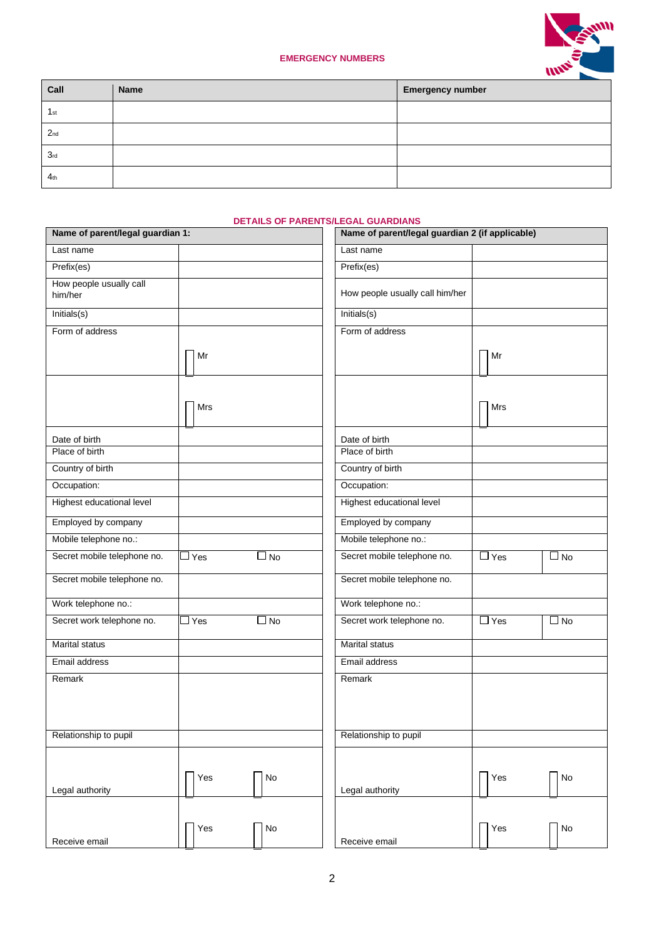

## **EMERGENCY NUMBERS**

| Call            | Name | <b>Emergency number</b> |
|-----------------|------|-------------------------|
| 1 <sub>st</sub> |      |                         |
| 2 <sub>nd</sub> |      |                         |
| 3 <sub>rd</sub> |      |                         |
| 4 <sub>th</sub> |      |                         |

## **DETAILS OF PARENTS/LEGAL GUARDIANS**

| Name of parent/legal guardian 1:   |               |               | Name of parent/legal guardian 2 (if applicable) |            |               |
|------------------------------------|---------------|---------------|-------------------------------------------------|------------|---------------|
| Last name                          |               |               | Last name                                       |            |               |
| Prefix(es)                         |               |               | Prefix(es)                                      |            |               |
| How people usually call<br>him/her |               |               | How people usually call him/her                 |            |               |
| Initials(s)                        |               |               | Initials(s)                                     |            |               |
| Form of address                    |               |               | Form of address                                 |            |               |
|                                    | Mr            |               |                                                 | Mr         |               |
|                                    | Mrs           |               |                                                 | Mrs        |               |
| Date of birth                      |               |               | Date of birth                                   |            |               |
| Place of birth                     |               |               | Place of birth                                  |            |               |
| Country of birth                   |               |               | Country of birth                                |            |               |
| Occupation:                        |               |               | Occupation:                                     |            |               |
| Highest educational level          |               |               | Highest educational level                       |            |               |
| Employed by company                |               |               | Employed by company                             |            |               |
| Mobile telephone no.:              |               |               | Mobile telephone no.:                           |            |               |
| Secret mobile telephone no.        | $\Box$ Yes    | $\square$ No  | Secret mobile telephone no.                     | $\Box$ Yes | $\square$ No  |
| Secret mobile telephone no.        |               |               | Secret mobile telephone no.                     |            |               |
| Work telephone no.:                |               |               | Work telephone no.:                             |            |               |
| Secret work telephone no.          | $\square$ Yes | $\square$ No  | Secret work telephone no.                       | $\Box$ Yes | $\square$ No  |
| <b>Marital status</b>              |               |               | <b>Marital status</b>                           |            |               |
| Email address                      |               |               | Email address                                   |            |               |
| Remark                             |               |               | Remark                                          |            |               |
| Relationship to pupil              |               |               | Relationship to pupil                           |            |               |
| Legal authority                    | Yes           | $\mathsf{No}$ | Legal authority                                 | Yes        | No            |
|                                    |               |               |                                                 |            |               |
| Receive email                      | Yes           | $\mathsf{No}$ | Receive email                                   | Yes        | $\mathsf{No}$ |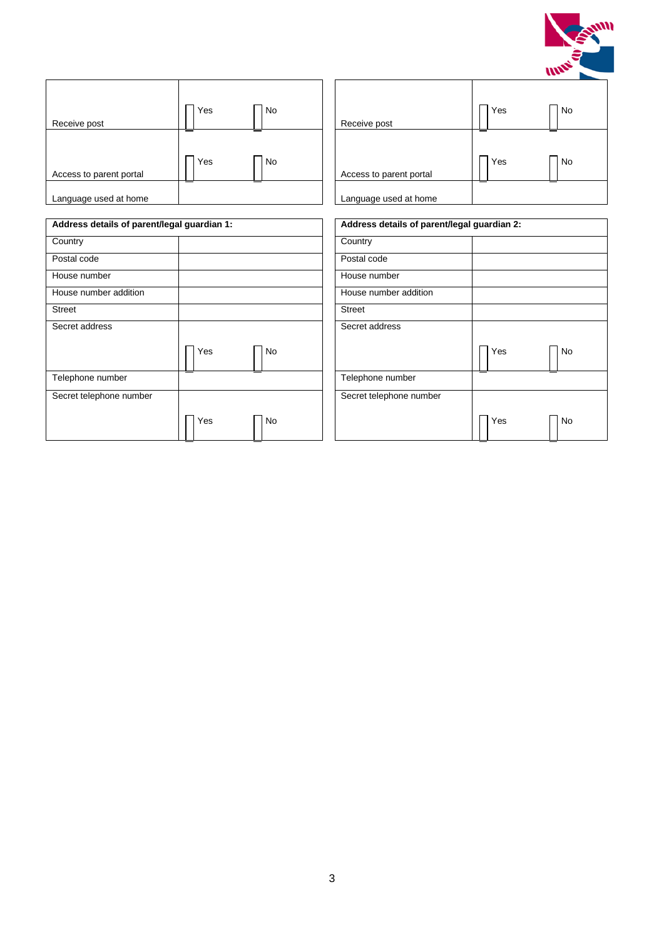

| Receive post            | Yes | <b>No</b> | Receive post            |
|-------------------------|-----|-----------|-------------------------|
| Access to parent portal | Yes | <b>No</b> | Access to parent portal |
| Language used at home   |     |           | Language used at home   |

| Yes<br><b>No</b> | Receive post            | Yes<br>No        |
|------------------|-------------------------|------------------|
| Yes<br><b>No</b> | Access to parent portal | Yes<br><b>No</b> |
| ᆖ                | Language used at home   | ᆖ<br>$\equiv$    |

| Address details of parent/legal guardian 1: |                  | Address details of parent/legal guardian 2: |
|---------------------------------------------|------------------|---------------------------------------------|
| Country                                     |                  | Country                                     |
| Postal code                                 |                  | Postal code                                 |
| House number                                |                  | House number                                |
| House number addition                       |                  | House number addition                       |
| <b>Street</b>                               |                  | <b>Street</b>                               |
| Secret address                              |                  | Secret address                              |
|                                             | Yes<br>No        | Yes                                         |
| Telephone number                            |                  | Telephone number                            |
| Secret telephone number                     |                  | Secret telephone number                     |
|                                             | Yes<br><b>No</b> | Yes                                         |

| ardian 1:        |                         | Address details of parent/legal guardian 2: |  |  |
|------------------|-------------------------|---------------------------------------------|--|--|
|                  | Country                 |                                             |  |  |
|                  | Postal code             |                                             |  |  |
|                  | House number            |                                             |  |  |
|                  | House number addition   |                                             |  |  |
|                  | <b>Street</b>           |                                             |  |  |
|                  | Secret address          |                                             |  |  |
| Yes<br>No        |                         | Yes<br>No                                   |  |  |
|                  | Telephone number        |                                             |  |  |
|                  | Secret telephone number |                                             |  |  |
| Yes<br><b>No</b> |                         | Yes<br>No                                   |  |  |